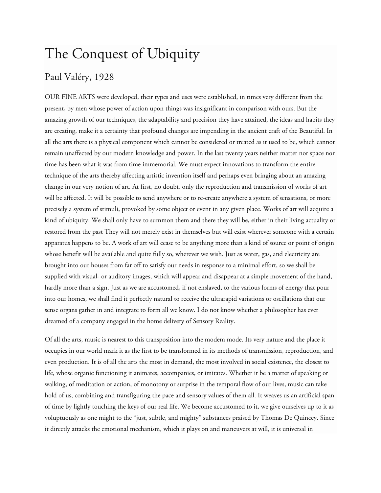## The Conquest of Ubiquity

## Paul Valéry, 1928

OUR FINE ARTS were developed, their types and uses were established, in times very different from the present, by men whose power of action upon things was insignificant in comparison with ours. But the amazing growth of our techniques, the adaptability and precision they have attained, the ideas and habits they are creating, make it a certainty that profound changes are impending in the ancient craft of the Beautiful. In all the arts there is a physical component which cannot be considered or treated as it used to be, which cannot remain unaffected by our modern knowledge and power. In the last twenty years neither matter nor space nor time has been what it was from time immemorial. We must expect innovations to transform the entire technique of the arts thereby affecting artistic invention itself and perhaps even bringing about an amazing change in our very notion of art. At first, no doubt, only the reproduction and transmission of works of art will be affected. It will be possible to send anywhere or to re-create anywhere a system of sensations, or more precisely a system of stimuli, provoked by some object or event in any given place. Works of art will acquire a kind of ubiquity. We shall only have to summon them and there they will be, either in their living actuality or restored from the past They will not merely exist in themselves but will exist wherever someone with a certain apparatus happens to be. A work of art will cease to be anything more than a kind of source or point of origin whose benefit will be available and quite fully so, wherever we wish. Just as water, gas, and electricity are brought into our houses from far off to satisfy our needs in response to a minimal effort, so we shall be supplied with visual- or auditory images, which will appear and disappear at a simple movement of the hand, hardly more than a sign. Just as we are accustomed, if not enslaved, to the various forms of energy that pour into our homes, we shall find it perfectly natural to receive the ultrarapid variations or oscillations that our sense organs gather in and integrate to form all we know. I do not know whether a philosopher has ever dreamed of a company engaged in the home delivery of Sensory Reality.

Of all the arts, music is nearest to this transposition into the modem mode. Its very nature and the place it occupies in our world mark it as the first to be transformed in its methods of transmission, reproduction, and even production. It is of all the arts the most in demand, the most involved in social existence, the closest to life, whose organic functioning it animates, accompanies, or imitates. Whether it be a matter of speaking or walking, of meditation or action, of monotony or surprise in the temporal flow of our lives, music can take hold of us, combining and transfiguring the pace and sensory values of them all. It weaves us an artificial span of time by lightly touching the keys of our real life. We become accustomed to it, we give ourselves up to it as voluptuously as one might to the "just, subtle, and mighty" substances praised by Thomas De Quincey. Since it directly attacks the emotional mechanism, which it plays on and maneuvers at will, it is universal in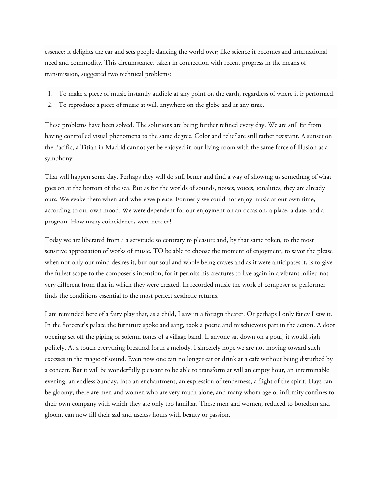essence; it delights the ear and sets people dancing the world over; like science it becomes and international need and commodity. This circumstance, taken in connection with recent progress in the means of transmission, suggested two technical problems:

- 1. To make a piece of music instantly audible at any point on the earth, regardless of where it is performed.
- 2. To reproduce a piece of music at will, anywhere on the globe and at any time.

These problems have been solved. The solutions are being further refined every day. We are still far from having controlled visual phenomena to the same degree. Color and relief are still rather resistant. A sunset on the Pacific, a Titian in Madrid cannot yet be enjoyed in our living room with the same force of illusion as a symphony.

That will happen some day. Perhaps they will do still better and find a way of showing us something of what goes on at the bottom of the sea. But as for the worlds of sounds, noises, voices, tonalities, they are already ours. We evoke them when and where we please. Formerly we could not enjoy music at our own time, according to our own mood. We were dependent for our enjoyment on an occasion, a place, a date, and a program. How many coincidences were needed!

Today we are liberated from a a servitude so contrary to pleasure and, by that same token, to the most sensitive appreciation of works of music. TO be able to choose the moment of enjoyment, to savor the please when not only our mind desires it, but our soul and whole being craves and as it were anticipates it, is to give the fullest scope to the composer's intention, for it permits his creatures to live again in a vibrant milieu not very different from that in which they were created. In recorded music the work of composer or performer finds the conditions essential to the most perfect aesthetic returns.

I am reminded here of a fairy play that, as a child, I saw in a foreign theater. Or perhaps I only fancy I saw it. In the Sorcerer's palace the furniture spoke and sang, took a poetic and mischievous part in the action. A door opening set off the piping or solemn tones of a village band. If anyone sat down on a pouf, it would sigh politely. At a touch everything breathed forth a melody. I sincerely hope we are not moving toward such excesses in the magic of sound. Even now one can no longer eat or drink at a cafe without being disturbed by a concert. But it will be wonderfully pleasant to be able to transform at will an empty hour, an interminable evening, an endless Sunday, into an enchantment, an expression of tenderness, a flight of the spirit. Days can be gloomy; there are men and women who are very much alone, and many whom age or infirmity confines to their own company with which they are only too familiar. These men and women, reduced to boredom and gloom, can now fill their sad and useless hours with beauty or passion.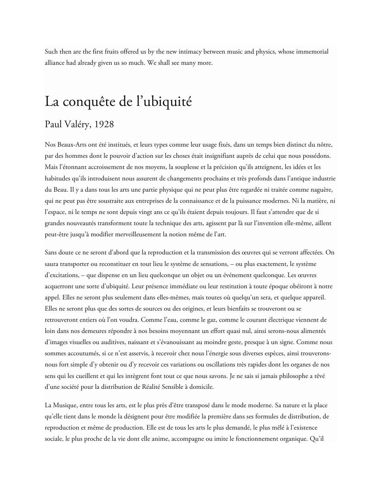Such then are the first fruits offered us by the new intimacy between music and physics, whose immemorial alliance had already given us so much. We shall see many more.

## La conquête de l'ubiquité

## Paul Valéry, 1928

Nos Beaux-Arts ont été institués, et leurs types comme leur usage fixés, dans un temps bien distinct du nôtre, par des hommes dont le pouvoir d'action sur les choses était insignifiant auprès de celui que nous possédons. Mais l'étonnant accroissement de nos moyens, la souplesse et la précision qu'ils atteignent, les idées et les habitudes qu'ils introduisent nous assurent de changements prochains et très profonds dans l'antique industrie du Beau. Il y a dans tous les arts une partie physique qui ne peut plus être regardée ni traitée comme naguère, qui ne peut pas être soustraite aux entreprises de la connaissance et de la puissance modernes. Ni la matière, ni l'espace, ni le temps ne sont depuis vingt ans ce qu'ils étaient depuis toujours. Il faut s'attendre que de si grandes nouveautés transforment toute la technique des arts, agissent par là sur l'invention elle-même, aillent peut-être jusqu'à modifier merveilleusement la notion même de l'art.

Sans doute ce ne seront d'abord que la reproduction et la transmission des œuvres qui se verront affectées. On saura transporter ou reconstituer en tout lieu le système de sensations, – ou plus exactement, le système d'excitations, – que dispense en un lieu quelconque un objet ou un événement quelconque. Les œuvres acquerront une sorte d'ubiquité. Leur présence immédiate ou leur restitution à toute époque obéiront à notre appel. Elles ne seront plus seulement dans elles-mêmes, mais toutes où quelqu'un sera, et quelque appareil. Elles ne seront plus que des sortes de sources ou des origines, et leurs bienfaits se trouveront ou se retrouveront entiers où l'on voudra. Comme l'eau, comme le gaz, comme le courant électrique viennent de loin dans nos demeures répondre à nos besoins moyennant un effort quasi nul, ainsi serons-nous alimentés d'images visuelles ou auditives, naissant et s'évanouissant au moindre geste, presque à un signe. Comme nous sommes accoutumés, si ce n'est asservis, à recevoir chez nous l'énergie sous diverses espèces, ainsi trouveronsnous fort simple d'y obtenir ou d'y recevoir ces variations ou oscillations très rapides dont les organes de nos sens qui les cueillent et qui les intègrent font tout ce que nous savons. Je ne sais si jamais philosophe a rêvé d'une société pour la distribution de Réalité Sensible à domicile.

La Musique, entre tous les arts, est le plus près d'être transposé dans le mode moderne. Sa nature et la place qu'elle tient dans le monde la désignent pour être modifiée la première dans ses formules de distribution, de reproduction et même de production. Elle est de tous les arts le plus demandé, le plus mêlé à l'existence sociale, le plus proche de la vie dont elle anime, accompagne ou imite le fonctionnement organique. Qu'il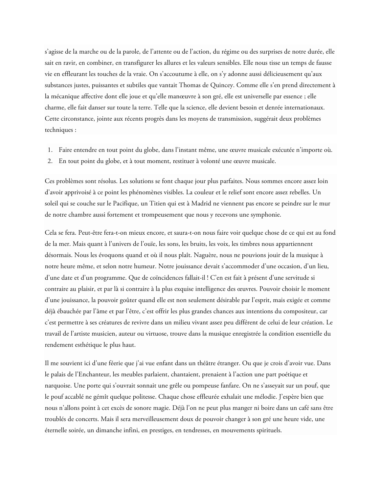s'agisse de la marche ou de la parole, de l'attente ou de l'action, du régime ou des surprises de notre durée, elle sait en ravir, en combiner, en transfigurer les allures et les valeurs sensibles. Elle nous tisse un temps de fausse vie en effleurant les touches de la vraie. On s'accoutume à elle, on s'y adonne aussi délicieusement qu'aux substances justes, puissantes et subtiles que vantait Thomas de Quincey. Comme elle s'en prend directement à la mécanique affective dont elle joue et qu'elle manœuvre à son gré, elle est universelle par essence ; elle charme, elle fait danser sur toute la terre. Telle que la science, elle devient besoin et denrée internationaux. Cette circonstance, jointe aux récents progrès dans les moyens de transmission, suggérait deux problèmes techniques :

- 1. Faire entendre en tout point du globe, dans l'instant même, une œuvre musicale exécutée n'importe où.
- 2. En tout point du globe, et à tout moment, restituer à volonté une œuvre musicale.

Ces problèmes sont résolus. Les solutions se font chaque jour plus parfaites. Nous sommes encore assez loin d'avoir apprivoisé à ce point les phénomènes visibles. La couleur et le relief sont encore assez rebelles. Un soleil qui se couche sur le Pacifique, un Titien qui est à Madrid ne viennent pas encore se peindre sur le mur de notre chambre aussi fortement et trompeusement que nous y recevons une symphonie.

Cela se fera. Peut-être fera-t-on mieux encore, et saura-t-on nous faire voir quelque chose de ce qui est au fond de la mer. Mais quant à l'univers de l'ouïe, les sons, les bruits, les voix, les timbres nous appartiennent désormais. Nous les évoquons quand et où il nous plaît. Naguère, nous ne pouvions jouir de la musique à notre heure même, et selon notre humeur. Notre jouissance devait s'accommoder d'une occasion, d'un lieu, d'une date et d'un programme. Que de coïncidences fallait-il ! C'en est fait à présent d'une servitude si contraire au plaisir, et par là si contraire à la plus exquise intelligence des œuvres. Pouvoir choisir le moment d'une jouissance, la pouvoir goûter quand elle est non seulement désirable par l'esprit, mais exigée et comme déjà ébauchée par l'âme et par l'être, c'est offrir les plus grandes chances aux intentions du compositeur, car c'est permettre à ses créatures de revivre dans un milieu vivant assez peu différent de celui de leur création. Le travail de l'artiste musicien, auteur ou virtuose, trouve dans la musique enregistrée la condition essentielle du rendement esthétique le plus haut.

Il me souvient ici d'une féerie que j'ai vue enfant dans un théâtre étranger. Ou que je crois d'avoir vue. Dans le palais de l'Enchanteur, les meubles parlaient, chantaient, prenaient à l'action une part poétique et narquoise. Une porte qui s'ouvrait sonnait une grêle ou pompeuse fanfare. On ne s'asseyait sur un pouf, que le pouf accablé ne gémît quelque politesse. Chaque chose effleurée exhalait une mélodie. J'espère bien que nous n'allons point à cet excès de sonore magie. Déjà l'on ne peut plus manger ni boire dans un café sans être troublés de concerts. Mais il sera merveilleusement doux de pouvoir changer à son gré une heure vide, une éternelle soirée, un dimanche infini, en prestiges, en tendresses, en mouvements spirituels.